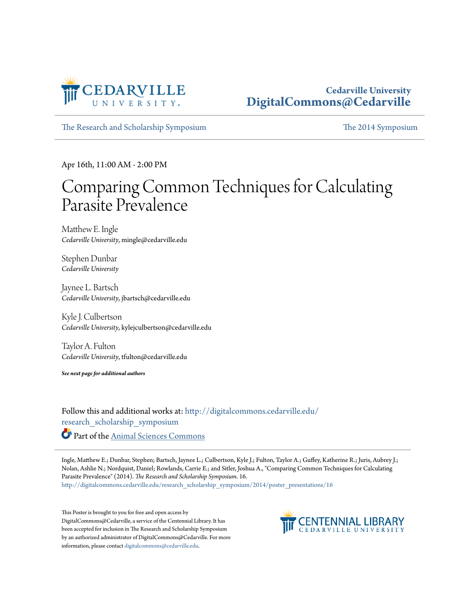

## **Cedarville University [DigitalCommons@Cedarville](http://digitalcommons.cedarville.edu?utm_source=digitalcommons.cedarville.edu%2Fresearch_scholarship_symposium%2F2014%2Fposter_presentations%2F16&utm_medium=PDF&utm_campaign=PDFCoverPages)**

[The Research and Scholarship Symposium](http://digitalcommons.cedarville.edu/research_scholarship_symposium?utm_source=digitalcommons.cedarville.edu%2Fresearch_scholarship_symposium%2F2014%2Fposter_presentations%2F16&utm_medium=PDF&utm_campaign=PDFCoverPages) [The 2014 Symposium](http://digitalcommons.cedarville.edu/research_scholarship_symposium/2014?utm_source=digitalcommons.cedarville.edu%2Fresearch_scholarship_symposium%2F2014%2Fposter_presentations%2F16&utm_medium=PDF&utm_campaign=PDFCoverPages)

Apr 16th, 11:00 AM - 2:00 PM

## Comparing Common Techniques for Calculating Parasite Prevalence

Matthew E. Ingle *Cedarville University*, mingle@cedarville.edu

Stephen Dunbar *Cedarville University*

Jaynee L. Bartsch *Cedarville University*, jbartsch@cedarville.edu

Kyle J. Culbertson *Cedarville University*, kylejculbertson@cedarville.edu

Taylor A. Fulton *Cedarville University*, tfulton@cedarville.edu

*See next page for additional authors*

Follow this and additional works at: [http://digitalcommons.cedarville.edu/](http://digitalcommons.cedarville.edu/research_scholarship_symposium?utm_source=digitalcommons.cedarville.edu%2Fresearch_scholarship_symposium%2F2014%2Fposter_presentations%2F16&utm_medium=PDF&utm_campaign=PDFCoverPages) [research\\_scholarship\\_symposium](http://digitalcommons.cedarville.edu/research_scholarship_symposium?utm_source=digitalcommons.cedarville.edu%2Fresearch_scholarship_symposium%2F2014%2Fposter_presentations%2F16&utm_medium=PDF&utm_campaign=PDFCoverPages) Part of the [Animal Sciences Commons](http://network.bepress.com/hgg/discipline/76?utm_source=digitalcommons.cedarville.edu%2Fresearch_scholarship_symposium%2F2014%2Fposter_presentations%2F16&utm_medium=PDF&utm_campaign=PDFCoverPages)

Ingle, Matthew E.; Dunbar, Stephen; Bartsch, Jaynee L.; Culbertson, Kyle J.; Fulton, Taylor A.; Guffey, Katherine R.; Juris, Aubrey J.; Nolan, Ashlie N.; Nordquist, Daniel; Rowlands, Carrie E.; and Sitler, Joshua A., "Comparing Common Techniques for Calculating Parasite Prevalence" (2014). *The Research and Scholarship Symposium*. 16. [http://digitalcommons.cedarville.edu/research\\_scholarship\\_symposium/2014/poster\\_presentations/16](http://digitalcommons.cedarville.edu/research_scholarship_symposium/2014/poster_presentations/16?utm_source=digitalcommons.cedarville.edu%2Fresearch_scholarship_symposium%2F2014%2Fposter_presentations%2F16&utm_medium=PDF&utm_campaign=PDFCoverPages)

This Poster is brought to you for free and open access by DigitalCommons@Cedarville, a service of the Centennial Library. It has been accepted for inclusion in The Research and Scholarship Symposium by an authorized administrator of DigitalCommons@Cedarville. For more information, please contact [digitalcommons@cedarville.edu.](mailto:digitalcommons@cedarville.edu)

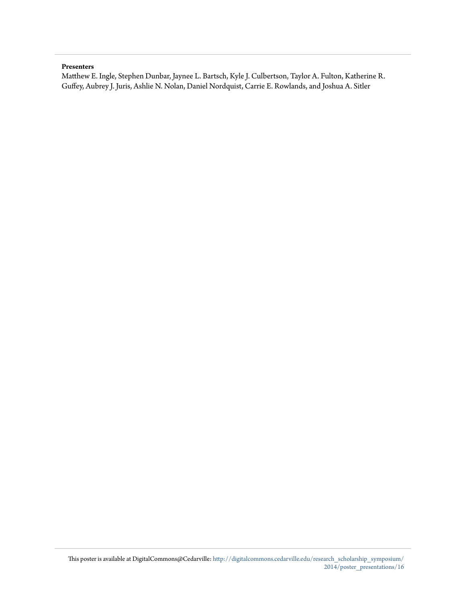## **Presenters**

Matthew E. Ingle, Stephen Dunbar, Jaynee L. Bartsch, Kyle J. Culbertson, Taylor A. Fulton, Katherine R. Guffey, Aubrey J. Juris, Ashlie N. Nolan, Daniel Nordquist, Carrie E. Rowlands, and Joshua A. Sitler